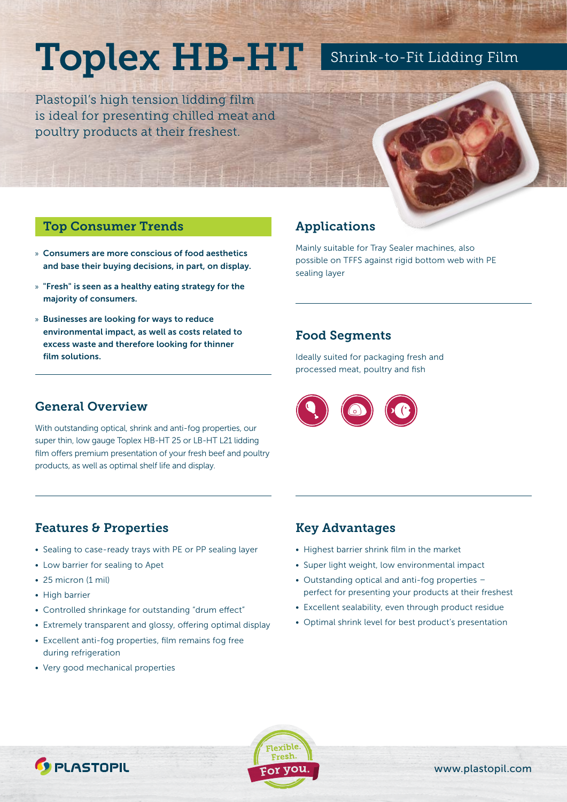# Toplex HB-HT

Plastopil's high tension lidding film is ideal for presenting chilled meat and poultry products at their freshest.

## Shrink-to-Fit Lidding Film

#### Top Consumer Trends

- » Consumers are more conscious of food aesthetics and base their buying decisions, in part, on display.
- » "Fresh" is seen as a healthy eating strategy for the majority of consumers.
- » Businesses are looking for ways to reduce environmental impact, as well as costs related to excess waste and therefore looking for thinner film solutions.

### Applications

Mainly suitable for Tray Sealer machines, also possible on TFFS against rigid bottom web with PE sealing layer

#### Food Segments

Ideally suited for packaging fresh and processed meat, poultry and fish



#### General Overview

With outstanding optical, shrink and anti-fog properties, our super thin, low gauge Toplex HB-HT 25 or LB-HT L21 lidding film offers premium presentation of your fresh beef and poultry products, as well as optimal shelf life and display.

### Features & Properties

- Sealing to case-ready trays with PE or PP sealing layer
- Low barrier for sealing to Apet
- 25 micron (1 mil)
- High barrier
- Controlled shrinkage for outstanding "drum effect"
- Extremely transparent and glossy, offering optimal display
- Excellent anti-fog properties, film remains fog free during refrigeration
- Very good mechanical properties

*C* PLASTOPIL

#### Key Advantages

- Highest barrier shrink film in the market
- Super light weight, low environmental impact
- Outstanding optical and anti-fog properties perfect for presenting your products at their freshest
- Excellent sealability, even through product residue
- Optimal shrink level for best product's presentation